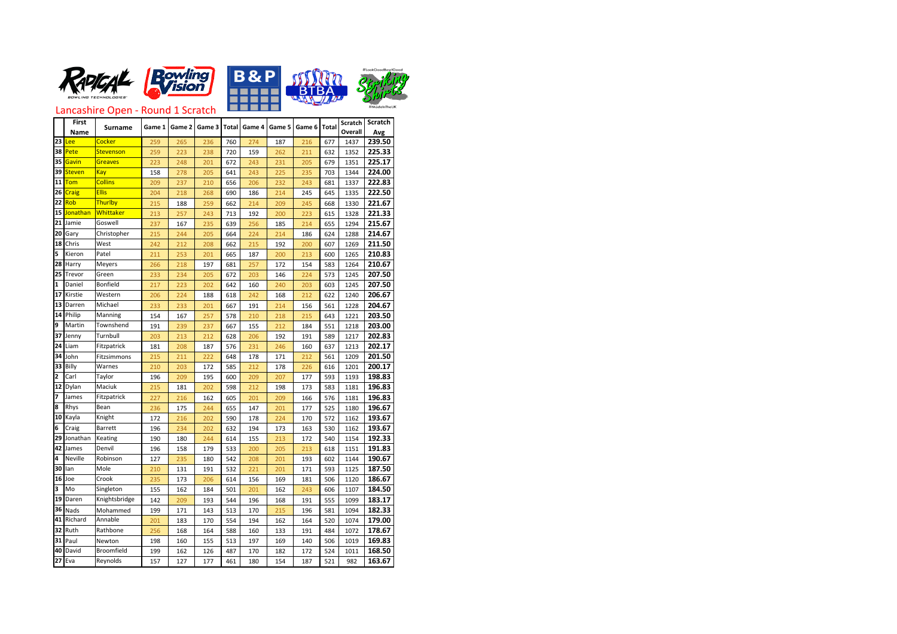







Lancashire Open - Round 1 Scratch

|                | <b>First</b>    |                   | Game 1 | Game 2 |        |     |                |        | Game 6 | <b>Total</b> | <b>Scratch</b> | <b>Scratch</b> |
|----------------|-----------------|-------------------|--------|--------|--------|-----|----------------|--------|--------|--------------|----------------|----------------|
|                | <b>Name</b>     | <b>Surname</b>    |        |        | Game 3 |     | Total   Game 4 | Game 5 |        |              | <b>Overall</b> | Avg            |
| 23             | <u>Lee</u>      | <b>Cocker</b>     | 259    | 265    | 236    | 760 | 274            | 187    | 216    | 677          | 1437           | 239.50         |
| 38             | Pete            | Stevenson         | 259    | 223    | 238    | 720 | 159            | 262    | 211    | 632          | 1352           | 225.33         |
| 35             | Gavin           | <b>Greaves</b>    | 223    | 248    | 201    | 672 | 243            | 231    | 205    | 679          | 1351           | 225.17         |
| 39             | <b>Steven</b>   | Kay               | 158    | 278    | 205    | 641 | 243            | 225    | 235    | 703          | 1344           | 224.00         |
| 11             | Tom             | <b>Collins</b>    | 209    | 237    | 210    | 656 | 206            | 232    | 243    | 681          | 1337           | 222.83         |
| 26             | <b>Craig</b>    | <b>Ellis</b>      | 204    | 218    | 268    | 690 | 186            | 214    | 245    | 645          | 1335           | 222.50         |
| 22             | Rob             | Thurlby           | 215    | 188    | 259    | 662 | 214            | 209    | 245    | 668          | 1330           | 221.67         |
| 15             | <b>Jonathan</b> | Whittaker         | 213    | 257    | 243    | 713 | 192            | 200    | 223    | 615          | 1328           | 221.33         |
| 21             | Jamie           | Goswell           | 237    | 167    | 235    | 639 | 256            | 185    | 214    | 655          | 1294           | 215.67         |
| 20             | Gary            | Christopher       | 215    | 244    | 205    | 664 | 224            | 214    | 186    | 624          | 1288           | 214.67         |
| 18             | Chris           | West              | 242    | 212    | 208    | 662 | 215            | 192    | 200    | 607          | 1269           | 211.50         |
| 5              | Kieron          | Patel             | 211    | 253    | 201    | 665 | 187            | 200    | 213    | 600          | 1265           | 210.83         |
| 28             | Harry           | Meyers            | 266    | 218    | 197    | 681 | 257            | 172    | 154    | 583          | 1264           | 210.67         |
| 25             | Trevor          | Green             | 233    | 234    | 205    | 672 | 203            | 146    | 224    | 573          | 1245           | 207.50         |
| 1              | Daniel          | <b>Bonfield</b>   | 217    | 223    | 202    | 642 | 160            | 240    | 203    | 603          | 1245           | 207.50         |
| 17             | Kirstie         | Western           | 206    | 224    | 188    | 618 | 242            | 168    | 212    | 622          | 1240           | 206.67         |
| 13             | Darren          | Michael           | 233    | 233    | 201    | 667 | 191            | 214    | 156    | 561          | 1228           | 204.67         |
| 14             | Philip          | Manning           | 154    | 167    | 257    | 578 | 210            | 218    | 215    | 643          | 1221           | 203.50         |
| 9              | Martin          | Townshend         | 191    | 239    | 237    | 667 | 155            | 212    | 184    | 551          | 1218           | 203.00         |
| 37             | Jenny           | Turnbull          | 203    | 213    | 212    | 628 | 206            | 192    | 191    | 589          | 1217           | 202.83         |
| 24             | Liam            | Fitzpatrick       | 181    | 208    | 187    | 576 | 231            | 246    | 160    | 637          | 1213           | 202.17         |
| 34             | John            | Fitzsimmons       | 215    | 211    | 222    | 648 | 178            | 171    | 212    | 561          | 1209           | 201.50         |
| 33             | Billy           | Warnes            | 210    | 203    | 172    | 585 | 212            | 178    | 226    | 616          | 1201           | 200.17         |
| $\overline{2}$ | Carl            | Taylor            | 196    | 209    | 195    | 600 | 209            | 207    | 177    | 593          | 1193           | 198.83         |
| 12             | <b>Dylan</b>    | Maciuk            | 215    | 181    | 202    | 598 | 212            | 198    | 173    | 583          | 1181           | 196.83         |
| 17             | James           | Fitzpatrick       | 227    | 216    | 162    | 605 | 201            | 209    | 166    | 576          | 1181           | 196.83         |
| 8              | <b>Rhys</b>     | Bean              | 236    | 175    | 244    | 655 | 147            | 201    | 177    | 525          | 1180           | 196.67         |
| 10             | Kayla           | Knight            | 172    | 216    | 202    | 590 | 178            | 224    | 170    | 572          | 1162           | 193.67         |
| 6              | Craig           | Barrett           | 196    | 234    | 202    | 632 | 194            | 173    | 163    | 530          | 1162           | 193.67         |
| 29             | Jonathan        | Keating           | 190    | 180    | 244    | 614 | 155            | 213    | 172    | 540          | 1154           | 192.33         |
|                | 42 James        | Denvil            | 196    | 158    | 179    | 533 | 200            | 205    | 213    | 618          | 1151           | 191.83         |
| 4              | <b>Neville</b>  | Robinson          | 127    | 235    | 180    | 542 | 208            | 201    | 193    | 602          | 1144           | 190.67         |
| 30             | lan             | Mole              | 210    | 131    | 191    | 532 | 221            | 201    | 171    | 593          | 1125           | 187.50         |
|                | $16$ Joe        | Crook             | 235    | 173    | 206    | 614 | 156            | 169    | 181    | 506          | 1120           | 186.67         |
| 3              | Mo              | Singleton         | 155    | 162    | 184    | 501 | 201            | 162    | 243    | 606          | 1107           | 184.50         |
| 19             | Daren           | Knightsbridge     | 142    | 209    | 193    | 544 | 196            | 168    | 191    | 555          | 1099           | 183.17         |
|                | 36 Nads         | Mohammed          | 199    | 171    | 143    | 513 | 170            | 215    | 196    | 581          | 1094           | 182.33         |
| 41             | Richard         | Annable           | 201    | 183    | 170    | 554 | 194            | 162    | 164    | 520          | 1074           | 179.00         |
| 32             | Ruth            | Rathbone          | 256    | 168    | 164    | 588 | 160            | 133    | 191    | 484          | 1072           | 178.67         |
|                | $31$ Paul       | Newton            | 198    | 160    | 155    | 513 | 197            | 169    | 140    | 506          | 1019           | 169.83         |
| 40             | David           | <b>Broomfield</b> | 199    | 162    | 126    | 487 | 170            | 182    | 172    | 524          | 1011           | 168.50         |
|                | $27$ Eva        | Reynolds          | 157    | 127    | 177    | 461 | 180            | 154    | 187    | 521          | 982            | 163.67         |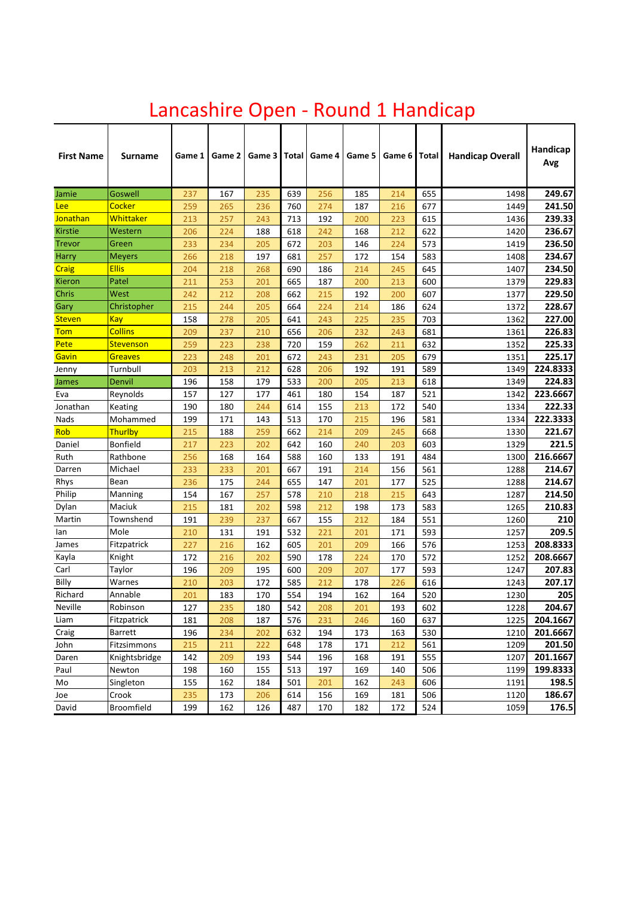| <b>First Name</b> | <b>Surname</b> | Game 1 | Game 2 | Game 3 | Total | Game 4 | Game 5 | Game 6 | Total | <b>Handicap Overall</b> | Handicap<br>Avg |
|-------------------|----------------|--------|--------|--------|-------|--------|--------|--------|-------|-------------------------|-----------------|
| Jamie             | <b>Goswell</b> | 237    | 167    | 235    | 639   | 256    | 185    | 214    | 655   | 1498                    | 249.67          |
| <b>Lee</b>        | <b>Cocker</b>  | 259    | 265    | 236    | 760   | 274    | 187    | 216    | 677   | 1449                    | 241.50          |
| Jonathan          | Whittaker      | 213    | 257    | 243    | 713   | 192    | 200    | 223    | 615   | 1436                    | 239.33          |
| Kirstie           | Western        | 206    | 224    | 188    | 618   | 242    | 168    | 212    | 622   | 1420                    | 236.67          |
| <b>Trevor</b>     | Green          | 233    | 234    | 205    | 672   | 203    | 146    | 224    | 573   | 1419                    | 236.50          |
| Harry             | <b>Meyers</b>  | 266    | 218    | 197    | 681   | 257    | 172    | 154    | 583   | 1408                    | 234.67          |
| <b>Craig</b>      | <b>Ellis</b>   | 204    | 218    | 268    | 690   | 186    | 214    | 245    | 645   | 1407                    | 234.50          |
| Kieron            | Patel          | 211    | 253    | 201    | 665   | 187    | 200    | 213    | 600   | 1379                    | 229.83          |
| Chris             | West           | 242    | 212    | 208    | 662   | 215    | 192    | 200    | 607   | 1377                    | 229.50          |
| Gary              | Christopher    | 215    | 244    | 205    | 664   | 224    | 214    | 186    | 624   | 1372                    | 228.67          |
| <b>Steven</b>     | <b>Kay</b>     | 158    | 278    | 205    | 641   | 243    | 225    | 235    | 703   | 1362                    | 227.00          |
| <b>Tom</b>        | <b>Collins</b> | 209    | 237    | 210    | 656   | 206    | 232    | 243    | 681   | 1361                    | 226.83          |
| Pete              | Stevenson      | 259    | 223    | 238    | 720   | 159    | 262    | 211    | 632   | 1352                    | 225.33          |
| Gavin             | <b>Greaves</b> | 223    | 248    | 201    | 672   | 243    | 231    | 205    | 679   | 1351                    | 225.17          |
| Jenny             | Turnbull       | 203    | 213    | 212    | 628   | 206    | 192    | 191    | 589   | 1349                    | 224.8333        |
| James             | Denvil         | 196    | 158    | 179    | 533   | 200    | 205    | 213    | 618   | 1349                    | 224.83          |
| Eva               | Reynolds       | 157    | 127    | 177    | 461   | 180    | 154    | 187    | 521   | 1342                    | 223.6667        |
| Jonathan          | Keating        | 190    | 180    | 244    | 614   | 155    | 213    | 172    | 540   | 1334                    | 222.33          |
| Nads              | Mohammed       | 199    | 171    | 143    | 513   | 170    | 215    | 196    | 581   | 1334                    | 222.3333        |
| Rob               | Thurlby        | 215    | 188    | 259    | 662   | 214    | 209    | 245    | 668   | 1330                    | 221.67          |
| Daniel            | Bonfield       | 217    | 223    | 202    | 642   | 160    | 240    | 203    | 603   | 1329                    | 221.5           |
| Ruth              | Rathbone       | 256    | 168    | 164    | 588   | 160    | 133    | 191    | 484   | 1300                    | 216.6667        |
| Darren            | Michael        | 233    | 233    | 201    | 667   | 191    | 214    | 156    | 561   | 1288                    | 214.67          |
| Rhys              | Bean           | 236    | 175    | 244    | 655   | 147    | 201    | 177    | 525   | 1288                    | 214.67          |
| Philip            | Manning        | 154    | 167    | 257    | 578   | 210    | 218    | 215    | 643   | 1287                    | 214.50          |
| Dylan             | Maciuk         | 215    | 181    | 202    | 598   | 212    | 198    | 173    | 583   | 1265                    | 210.83          |
| Martin            | Townshend      | 191    | 239    | 237    | 667   | 155    | 212    | 184    | 551   | 1260                    | 210             |
| lan               | Mole           | 210    | 131    | 191    | 532   | 221    | 201    | 171    | 593   | 1257                    | 209.5           |
| James             | Fitzpatrick    | 227    | 216    | 162    | 605   | 201    | 209    | 166    | 576   | 1253                    | 208.8333        |
| Kayla             | Knight         | 172    | 216    | 202    | 590   | 178    | 224    | 170    | 572   | 1252                    | 208.6667        |
| Carl              | Taylor         | 196    | 209    | 195    | 600   | 209    | 207    | 177    | 593   | 1247                    | 207.83          |
| Billy             | Warnes         | 210    | 203    | 172    | 585   | 212    | 178    | 226    | 616   | 1243                    | 207.17          |
| Richard           | Annable        | 201    | 183    | 170    | 554   | 194    | 162    | 164    | 520   | 1230                    | 205             |
| Neville           | Robinson       | 127    | 235    | 180    | 542   | 208    | 201    | 193    | 602   | 1228                    | 204.67          |
| Liam              | Fitzpatrick    | 181    | 208    | 187    | 576   | 231    | 246    | 160    | 637   | 1225                    | 204.1667        |
| Craig             | <b>Barrett</b> | 196    | 234    | 202    | 632   | 194    | 173    | 163    | 530   | 1210                    | 201.6667        |
| John              | Fitzsimmons    | 215    | 211    | 222    | 648   | 178    | 171    | 212    | 561   | 1209                    | 201.50          |
| Daren             | Knightsbridge  | 142    | 209    | 193    | 544   | 196    | 168    | 191    | 555   | 1207                    | 201.1667        |
| Paul              | Newton         | 198    | 160    | 155    | 513   | 197    | 169    | 140    | 506   | 1199                    | 199.8333        |
| Mo                | Singleton      | 155    | 162    | 184    | 501   | 201    | 162    | 243    | 606   | 1191                    | 198.5           |
| Joe               | Crook          | 235    | 173    | 206    | 614   | 156    | 169    | 181    | 506   | 1120                    | 186.67          |
| David             | Broomfield     | 199    | 162    | 126    | 487   | 170    | 182    | 172    | 524   | 1059                    | 176.5           |

# Lancashire Open - Round 1 Handicap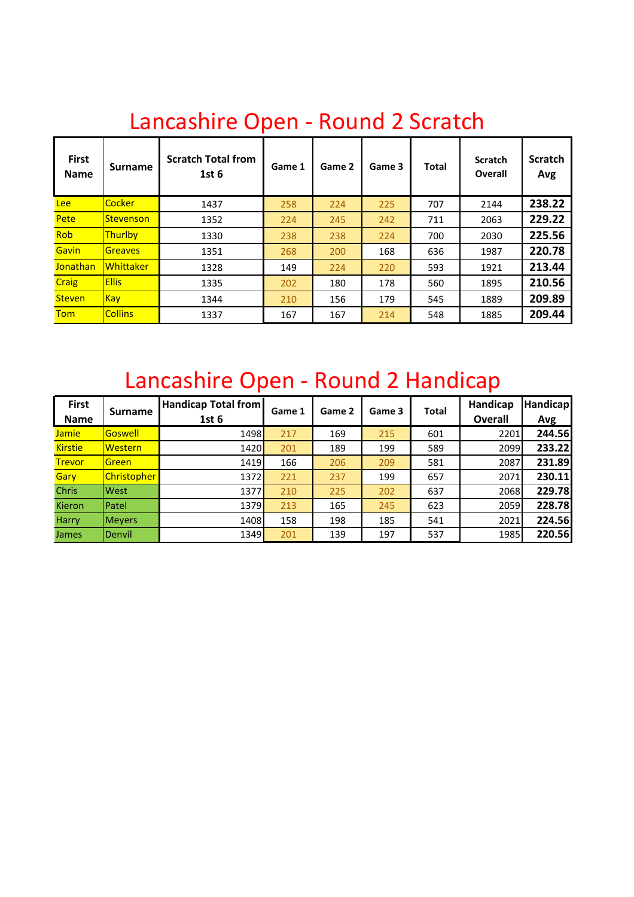| <b>First</b><br><b>Name</b> | <b>Surname</b>   | <b>Scratch Total from</b><br>1st <sub>6</sub> | Game 1 | Game 2 | Game 3 | <b>Total</b> | <b>Scratch</b><br><b>Overall</b> | <b>Scratch</b><br>Avg |
|-----------------------------|------------------|-----------------------------------------------|--------|--------|--------|--------------|----------------------------------|-----------------------|
| <b>Lee</b>                  | <b>Cocker</b>    | 1437                                          | 258    | 224    | 225    | 707          | 2144                             | 238.22                |
| Pete                        | Stevenson        | 1352                                          | 224    | 245    | 242    | 711          | 2063                             | 229.22                |
| <b>Rob</b>                  | <b>Thurlby</b>   | 1330                                          | 238    | 238    | 224    | 700          | 2030                             | 225.56                |
| Gavin                       | <b>Greaves</b>   | 1351                                          | 268    | 200    | 168    | 636          | 1987                             | 220.78                |
| Jonathan                    | <b>Whittaker</b> | 1328                                          | 149    | 224    | 220    | 593          | 1921                             | 213.44                |
| <b>Craig</b>                | <b>Ellis</b>     | 1335                                          | 202    | 180    | 178    | 560          | 1895                             | 210.56                |
| <b>Steven</b>               | <b>Kay</b>       | 1344                                          | 210    | 156    | 179    | 545          | 1889                             | 209.89                |
| <b>Tom</b>                  | <b>Collins</b>   | 1337                                          | 167    | 167    | 214    | 548          | 1885                             | 209.44                |

### Lancashire Open - Round 2 Scratch

## Lancashire Open - Round 2 Handicap

| <b>First</b>   | <b>Surname</b> | <b>Handicap Total from</b> |     | Game 1 | Game 2 | Game 3 | <b>Total</b>   | Handicap | Handicap |
|----------------|----------------|----------------------------|-----|--------|--------|--------|----------------|----------|----------|
| <b>Name</b>    |                | 1st <sub>6</sub>           |     |        |        |        | <b>Overall</b> | Avg      |          |
| <b>Jamie</b>   | Goswell        | 1498                       | 217 | 169    | 215    | 601    | 2201           | 244.56   |          |
| <b>Kirstie</b> | <b>Western</b> | 1420                       | 201 | 189    | 199    | 589    | 2099           | 233.22   |          |
| <b>Trevor</b>  | Green          | 1419                       | 166 | 206    | 209    | 581    | 2087           | 231.89   |          |
| Gary           | Christopher    | 1372                       | 221 | 237    | 199    | 657    | 2071           | 230.11   |          |
| <b>Chris</b>   | West           | 1377                       | 210 | 225    | 202    | 637    | 2068           | 229.78   |          |
| <b>Kieron</b>  | Patel          | 1379                       | 213 | 165    | 245    | 623    | 2059           | 228.78   |          |
| <b>Harry</b>   | <b>Meyers</b>  | 1408                       | 158 | 198    | 185    | 541    | 2021           | 224.56   |          |
| <b>James</b>   | Denvil         | 1349                       | 201 | 139    | 197    | 537    | 1985           | 220.56   |          |